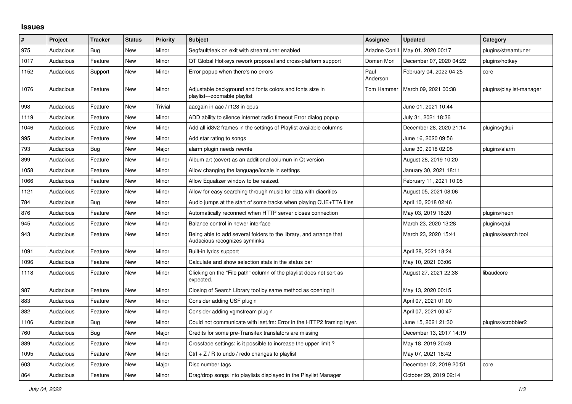## **Issues**

| $\#$ | Project   | <b>Tracker</b> | <b>Status</b> | <b>Priority</b> | <b>Subject</b>                                                                                      | Assignee         | <b>Updated</b>          | Category                 |
|------|-----------|----------------|---------------|-----------------|-----------------------------------------------------------------------------------------------------|------------------|-------------------------|--------------------------|
| 975  | Audacious | Bug            | <b>New</b>    | Minor           | Segfault/leak on exit with streamtuner enabled                                                      | Ariadne Conill   | May 01, 2020 00:17      | plugins/streamtuner      |
| 1017 | Audacious | Feature        | <b>New</b>    | Minor           | QT Global Hotkeys rework proposal and cross-platform support                                        | Domen Mori       | December 07, 2020 04:22 | plugins/hotkey           |
| 1152 | Audacious | Support        | New           | Minor           | Error popup when there's no errors                                                                  | Paul<br>Anderson | February 04, 2022 04:25 | core                     |
| 1076 | Audacious | Feature        | New           | Minor           | Adjustable background and fonts colors and fonts size in<br>playlist---zoomable playlist            | Tom Hammer       | March 09, 2021 00:38    | plugins/playlist-manager |
| 998  | Audacious | Feature        | New           | Trivial         | aacgain in aac / r128 in opus                                                                       |                  | June 01, 2021 10:44     |                          |
| 1119 | Audacious | Feature        | <b>New</b>    | Minor           | ADD ability to silence internet radio timeout Error dialog popup                                    |                  | July 31, 2021 18:36     |                          |
| 1046 | Audacious | Feature        | New           | Minor           | Add all id3v2 frames in the settings of Playlist available columns                                  |                  | December 28, 2020 21:14 | plugins/gtkui            |
| 995  | Audacious | Feature        | New           | Minor           | Add star rating to songs                                                                            |                  | June 16, 2020 09:56     |                          |
| 793  | Audacious | Bug            | <b>New</b>    | Major           | alarm plugin needs rewrite                                                                          |                  | June 30, 2018 02:08     | plugins/alarm            |
| 899  | Audacious | Feature        | New           | Minor           | Album art (cover) as an additional columun in Qt version                                            |                  | August 28, 2019 10:20   |                          |
| 1058 | Audacious | Feature        | New           | Minor           | Allow changing the language/locale in settings                                                      |                  | January 30, 2021 18:11  |                          |
| 1066 | Audacious | Feature        | <b>New</b>    | Minor           | Allow Equalizer window to be resized.                                                               |                  | February 11, 2021 10:05 |                          |
| 1121 | Audacious | Feature        | <b>New</b>    | Minor           | Allow for easy searching through music for data with diacritics                                     |                  | August 05, 2021 08:06   |                          |
| 784  | Audacious | Bug            | <b>New</b>    | Minor           | Audio jumps at the start of some tracks when playing CUE+TTA files                                  |                  | April 10, 2018 02:46    |                          |
| 876  | Audacious | Feature        | <b>New</b>    | Minor           | Automatically reconnect when HTTP server closes connection                                          |                  | May 03, 2019 16:20      | plugins/neon             |
| 945  | Audacious | Feature        | New           | Minor           | Balance control in newer interface                                                                  |                  | March 23, 2020 13:28    | plugins/qtui             |
| 943  | Audacious | Feature        | <b>New</b>    | Minor           | Being able to add several folders to the library, and arrange that<br>Audacious recognizes symlinks |                  | March 23, 2020 15:41    | plugins/search tool      |
| 1091 | Audacious | Feature        | <b>New</b>    | Minor           | Built-in lyrics support                                                                             |                  | April 28, 2021 18:24    |                          |
| 1096 | Audacious | Feature        | <b>New</b>    | Minor           | Calculate and show selection stats in the status bar                                                |                  | May 10, 2021 03:06      |                          |
| 1118 | Audacious | Feature        | <b>New</b>    | Minor           | Clicking on the "File path" column of the playlist does not sort as<br>expected.                    |                  | August 27, 2021 22:38   | libaudcore               |
| 987  | Audacious | Feature        | <b>New</b>    | Minor           | Closing of Search Library tool by same method as opening it                                         |                  | May 13, 2020 00:15      |                          |
| 883  | Audacious | Feature        | <b>New</b>    | Minor           | Consider adding USF plugin                                                                          |                  | April 07, 2021 01:00    |                          |
| 882  | Audacious | Feature        | New           | Minor           | Consider adding vgmstream plugin                                                                    |                  | April 07, 2021 00:47    |                          |
| 1106 | Audacious | Bug            | New           | Minor           | Could not communicate with last.fm: Error in the HTTP2 framing layer.                               |                  | June 15, 2021 21:30     | plugins/scrobbler2       |
| 760  | Audacious | Bug            | <b>New</b>    | Major           | Credits for some pre-Transifex translators are missing                                              |                  | December 13, 2017 14:19 |                          |
| 889  | Audacious | Feature        | <b>New</b>    | Minor           | Crossfade settings: is it possible to increase the upper limit?                                     |                  | May 18, 2019 20:49      |                          |
| 1095 | Audacious | Feature        | New           | Minor           | Ctrl $+$ Z / R to undo / redo changes to playlist                                                   |                  | May 07, 2021 18:42      |                          |
| 603  | Audacious | Feature        | <b>New</b>    | Major           | Disc number tags                                                                                    |                  | December 02, 2019 20:51 | core                     |
| 864  | Audacious | Feature        | <b>New</b>    | Minor           | Drag/drop songs into playlists displayed in the Playlist Manager                                    |                  | October 29, 2019 02:14  |                          |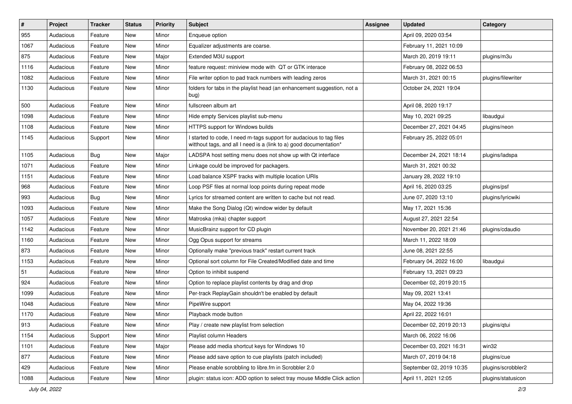| $\vert$ # | Project   | <b>Tracker</b> | <b>Status</b> | <b>Priority</b> | <b>Subject</b>                                                                                                                            | Assignee | <b>Updated</b>           | Category           |
|-----------|-----------|----------------|---------------|-----------------|-------------------------------------------------------------------------------------------------------------------------------------------|----------|--------------------------|--------------------|
| 955       | Audacious | Feature        | <b>New</b>    | Minor           | Enqueue option                                                                                                                            |          | April 09, 2020 03:54     |                    |
| 1067      | Audacious | Feature        | New           | Minor           | Equalizer adjustments are coarse.                                                                                                         |          | February 11, 2021 10:09  |                    |
| 875       | Audacious | Feature        | New           | Major           | Extended M3U support                                                                                                                      |          | March 20, 2019 19:11     | plugins/m3u        |
| 1116      | Audacious | Feature        | New           | Minor           | feature request: miniview mode with QT or GTK interace                                                                                    |          | February 08, 2022 06:53  |                    |
| 1082      | Audacious | Feature        | New           | Minor           | File writer option to pad track numbers with leading zeros                                                                                |          | March 31, 2021 00:15     | plugins/filewriter |
| 1130      | Audacious | Feature        | New           | Minor           | folders for tabs in the playlist head (an enhancement suggestion, not a<br>bug)                                                           |          | October 24, 2021 19:04   |                    |
| 500       | Audacious | Feature        | New           | Minor           | fullscreen album art                                                                                                                      |          | April 08, 2020 19:17     |                    |
| 1098      | Audacious | Feature        | New           | Minor           | Hide empty Services playlist sub-menu                                                                                                     |          | May 10, 2021 09:25       | libaudgui          |
| 1108      | Audacious | Feature        | New           | Minor           | HTTPS support for Windows builds                                                                                                          |          | December 27, 2021 04:45  | plugins/neon       |
| 1145      | Audacious | Support        | New           | Minor           | I started to code, I need m-tags support for audacious to tag files<br>witthout tags, and all I need is a (link to a) good documentation* |          | February 25, 2022 05:01  |                    |
| 1105      | Audacious | <b>Bug</b>     | New           | Major           | LADSPA host setting menu does not show up with Qt interface                                                                               |          | December 24, 2021 18:14  | plugins/ladspa     |
| 1071      | Audacious | Feature        | New           | Minor           | Linkage could be improved for packagers.                                                                                                  |          | March 31, 2021 00:32     |                    |
| 1151      | Audacious | Feature        | <b>New</b>    | Minor           | Load balance XSPF tracks with multiple location URIs                                                                                      |          | January 28, 2022 19:10   |                    |
| 968       | Audacious | Feature        | New           | Minor           | Loop PSF files at normal loop points during repeat mode                                                                                   |          | April 16, 2020 03:25     | plugins/psf        |
| 993       | Audacious | Bug            | New           | Minor           | Lyrics for streamed content are written to cache but not read.                                                                            |          | June 07, 2020 13:10      | plugins/lyricwiki  |
| 1093      | Audacious | Feature        | New           | Minor           | Make the Song Dialog (Qt) window wider by default                                                                                         |          | May 17, 2021 15:36       |                    |
| 1057      | Audacious | Feature        | New           | Minor           | Matroska (mka) chapter support                                                                                                            |          | August 27, 2021 22:54    |                    |
| 1142      | Audacious | Feature        | New           | Minor           | MusicBrainz support for CD plugin                                                                                                         |          | November 20, 2021 21:46  | plugins/cdaudio    |
| 1160      | Audacious | Feature        | New           | Minor           | Ogg Opus support for streams                                                                                                              |          | March 11, 2022 18:09     |                    |
| 873       | Audacious | Feature        | New           | Minor           | Optionally make "previous track" restart current track                                                                                    |          | June 08, 2021 22:55      |                    |
| 1153      | Audacious | Feature        | New           | Minor           | Optional sort column for File Created/Modified date and time                                                                              |          | February 04, 2022 16:00  | libaudgui          |
| 51        | Audacious | Feature        | New           | Minor           | Option to inhibit suspend                                                                                                                 |          | February 13, 2021 09:23  |                    |
| 924       | Audacious | Feature        | New           | Minor           | Option to replace playlist contents by drag and drop                                                                                      |          | December 02, 2019 20:15  |                    |
| 1099      | Audacious | Feature        | New           | Minor           | Per-track ReplayGain shouldn't be enabled by default                                                                                      |          | May 09, 2021 13:41       |                    |
| 1048      | Audacious | Feature        | New           | Minor           | PipeWire support                                                                                                                          |          | May 04, 2022 19:36       |                    |
| 1170      | Audacious | Feature        | New           | Minor           | Playback mode button                                                                                                                      |          | April 22, 2022 16:01     |                    |
| 913       | Audacious | Feature        | New           | Minor           | Play / create new playlist from selection                                                                                                 |          | December 02, 2019 20:13  | plugins/qtui       |
| 1154      | Audacious | Support        | New           | Minor           | Playlist column Headers                                                                                                                   |          | March 06, 2022 16:06     |                    |
| 1101      | Audacious | Feature        | New           | Major           | Please add media shortcut keys for Windows 10                                                                                             |          | December 03, 2021 16:31  | win32              |
| 877       | Audacious | Feature        | New           | Minor           | Please add save option to cue playlists (patch included)                                                                                  |          | March 07, 2019 04:18     | plugins/cue        |
| 429       | Audacious | Feature        | New           | Minor           | Please enable scrobbling to libre.fm in Scrobbler 2.0                                                                                     |          | September 02, 2019 10:35 | plugins/scrobbler2 |
| 1088      | Audacious | Feature        | New           | Minor           | plugin: status icon: ADD option to select tray mouse Middle Click action                                                                  |          | April 11, 2021 12:05     | plugins/statusicon |